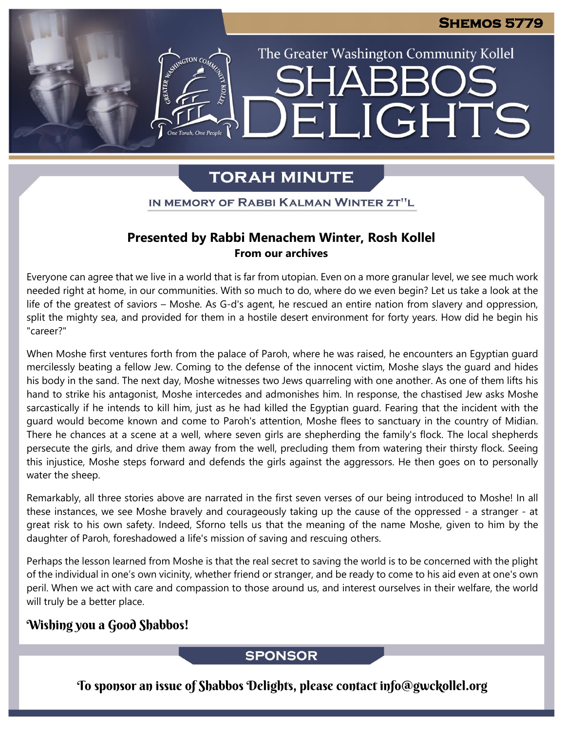The Greater Washington Community Kollel

LIGHTS

# **TORAH MINUTE**

EI

IN MEMORY OF RABBI KALMAN WINTER ZT"L

#### **Presented by Rabbi Menachem Winter, Rosh Kollel From our archives**

Everyone can agree that we live in a world that is far from utopian. Even on a more granular level, we see much work needed right at home, in our communities. With so much to do, where do we even begin? Let us take a look at the life of the greatest of saviors – Moshe. As G-d's agent, he rescued an entire nation from slavery and oppression, split the mighty sea, and provided for them in a hostile desert environment for forty years. How did he begin his "career?"

When Moshe first ventures forth from the palace of Paroh, where he was raised, he encounters an Egyptian guard mercilessly beating a fellow Jew. Coming to the defense of the innocent victim, Moshe slays the guard and hides his body in the sand. The next day, Moshe witnesses two Jews quarreling with one another. As one of them lifts his hand to strike his antagonist, Moshe intercedes and admonishes him. In response, the chastised Jew asks Moshe sarcastically if he intends to kill him, just as he had killed the Egyptian guard. Fearing that the incident with the guard would become known and come to Paroh's attention, Moshe flees to sanctuary in the country of Midian. There he chances at a scene at a well, where seven girls are shepherding the family's flock. The local shepherds persecute the girls, and drive them away from the well, precluding them from watering their thirsty flock. Seeing this injustice, Moshe steps forward and defends the girls against the aggressors. He then goes on to personally water the sheep.

Remarkably, all three stories above are narrated in the first seven verses of our being introduced to Moshe! In all these instances, we see Moshe bravely and courageously taking up the cause of the oppressed - a stranger - at great risk to his own safety. Indeed, Sforno tells us that the meaning of the name Moshe, given to him by the daughter of Paroh, foreshadowed a life's mission of saving and rescuing others.

Perhaps the lesson learned from Moshe is that the real secret to saving the world is to be concerned with the plight of the individual in one's own vicinity, whether friend or stranger, and be ready to come to his aid even at one's own peril. When we act with care and compassion to those around us, and interest ourselves in their welfare, the world will truly be a better place.

### Wishing you a Good Shabbos!

#### **SPONSOR**

To sponsor an issue of Shabbos Delights, please contact info@gwckollel.org